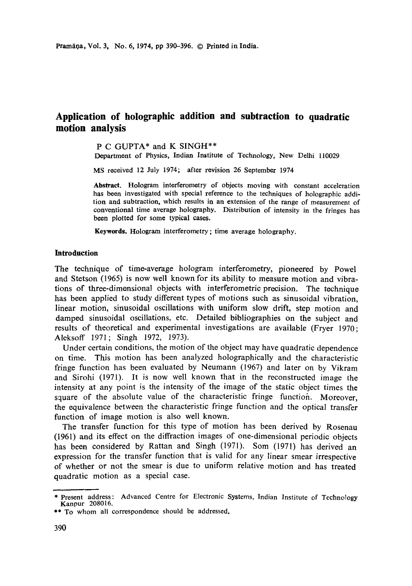# **Application of holographic addition and subtraction to quadratic motion analysis**

P C GUPTA\* and K SINGH\*\* Department of Physics, Indian Institute of Technology, New Delhi 110029

MS received 12 July 1974; after revision 26 September 1974

**Abstract.** Hologram interferometry of objects moving with constant acceleration has been investigated with special reference to the techniques of holographic addition and subtraction, which results in an extension of the range of measurement of conventional time average holography. Distribution of intensity in the fringes has been plotted for some typical cases.

**Keywords.** Hologram interferometry; time average holography.

## **Introduction**

The technique of time-average hologram interferometry, pioneered by Powel and Stetson (1965) is now well known for its ability to measure motion and vibrations of three-dimensional objects with interferometric precision. The technique has been applied to study different types of motions such as sinusoidal vibration, linear motion, sinusoidal oscillations with uniform slow drift, step motion and damped sinusoidal oscillations, etc. Detailed bibliographies on the subject and results of theoretical and experimental investigations are available (Fryer 1970; Aleksoff 1971; Singh 1972, 1973).

Under certain conditions, the motion of the object may have quadratic dependence on time. This motion has been analyzed holographically and the characteristic fringe function has been evaluated by Neumann (1967) and later on by Vikram and Sirohi (1971). It is now well known that in the reconstructed image the intensity at any point is the intensity of the image of the static object times the square of the absolute value of the characteristic fringe functioh. Moreover, the equivalence between the characteristic fringe function and the optical transfer function of image motion is also well known.

The transfer function for this type of motion has been derived by Rosenau (1961) and its effect on the diffraction images of one-dimensional periodic objects has been considered by Rattan and Singh (1971). Som (1971) has derived an expression for the transfer function that is valid for any linear smear irrespective of whether or not the smear is due to uniform relative motion and has treated quadratic motion as a special case.

<sup>\*</sup> Present address: Advanced Centre for Electronic Systems, Indian Institute of Technology Kanpur 208016.

<sup>\*\*</sup> To whom all correspondence should be addressed.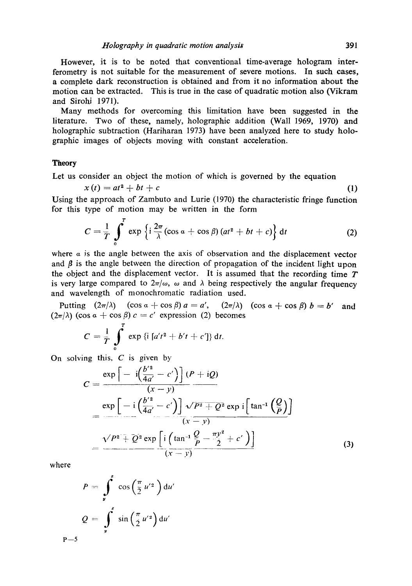However, it is to be noted that conventional time-average hologram interferometry is not suitable for the measurement of severe motions. In such eases, a complete dark reconstruction is obtained and from it no information about the motion can be extracted. This is true in the case of quadratic motion also (Vikram and Sirohi 1971).

Many methods for overcoming this limitation have been suggested in the literature. Two of these, namely, holographic addition (Wall 1969, 1970) and holographic subtraction (Hariharan 1973) have been analyzed here to study holographic images of objects moving with constant acceleration.

# **Theory**

Let us consider an object the motion of which is governed by the equation

$$
x(t) = at^2 + bt + c \tag{1}
$$

Using the approach of Zambuto and Lurie (1970) the characteristic fringe function for this type of motion may be written in the form

$$
C = \frac{1}{T} \int_{0}^{T} \exp \left\{ i \frac{2\pi}{\lambda} (\cos \alpha + \cos \beta) (at^2 + bt + c) \right\} dt
$$
 (2)

where  $\alpha$  is the angle between the axis of observation and the displacement vector and  $\beta$  is the angle between the direction of propagation of the incident light upon the object and the displacement vector. It is assumed that the recording time  $T$ is very large compared to  $2\pi/\omega$ ,  $\omega$  and  $\lambda$  being respectively the angular frequency and wavelength of monochromatic radiation used.

Putting  $(2\pi/\lambda)$   $(\cos \alpha + \cos \beta) a = a'$ ,  $(2\pi/\lambda)$   $(\cos \alpha + \cos \beta) b = b'$  and  $(2\pi/\lambda)$  (cos  $\alpha + \cos \beta$ )  $c = c'$  expression (2) becomes

$$
C = \frac{1}{T} \int_{0}^{T} \exp \{i \left[ a't^{2} + b't + c' \right] \} dt.
$$

On solving this,  $C$  is given by

$$
C = \frac{\exp\left[-i\left(\frac{b'^2}{4a'}-c'\right)\right](P+iQ)}{(x-y)} \n= \frac{\exp\left[-i\left(\frac{b'^2}{4a'}-c'\right)\right] \sqrt{P^2+Q^2} \exp i\left[\tan^{-1}\left(\frac{Q}{P}\right)\right]}{(x-y)} \n= \frac{\sqrt{P^2+Q^2} \exp\left[i\left(\tan^{-1}\frac{Q}{P}-\frac{\pi y^2}{2}+c'\right)\right]}{(x-y)}
$$
\n(3)

where

$$
P = \int_{y}^{z} \cos\left(\frac{\pi}{2}u'^{2}\right) du'
$$
  

$$
Q = \int_{y}^{z} \sin\left(\frac{\pi}{2}u'^{2}\right) du'
$$
  
P-5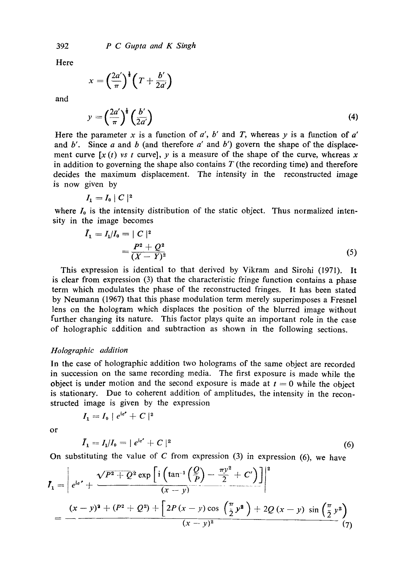*P C Gupta and K Singh* 

Here

$$
x = \left(\frac{2a'}{\pi}\right)^{\frac{1}{4}} \left(T + \frac{b'}{2a'}\right)
$$

and

$$
y = \left(\frac{2a'}{\pi}\right)^{\frac{1}{2}} \left(\frac{b'}{2a'}\right) \tag{4}
$$

Here the parameter x is a function of  $a'$ ,  $b'$  and T, whereas y is a function of  $a'$ and  $b'$ . Since a and b (and therefore  $a'$  and  $b'$ ) govern the shape of the displacement curve  $[x(t)$  vs t curve, y is a measure of the shape of the curve, whereas x in addition to governing the shape also contains  $T$  (the recording time) and therefore decides the maximum displacement. The intensity in the reconstructed image is now given by

$$
I_1 = I_0 \mid C \mid^2
$$

where  $I_0$  is the intensity distribution of the static object. Thus normalized intensity in the image becomes

$$
\bar{I}_1 = I_1/I_0 = |C|^2
$$
  
= 
$$
\frac{P^2 + Q^2}{(X - Y)^2}
$$
 (5)

This expression is identical to that derived by Vikram and Sirohi (1971). It is clear from expression (3) that the characteristic fringe function contains a phase term which modulates the phase of the reconstructed fringes. It has been stated by Neumann (1967) that this phase modulation term merely superimposes a Fresnel lens on the holosram which displaces the position of the blurred image without further changing its nature. This factor plays quite an important role in the case of holographic addition and subtraction as shown in the following sections.

# *Holographic addition*

 $I_1=I_0 + e^{i\sigma'} + C$  |<sup>2</sup>

In the case of holographic addition two holograms of the same object are recorded in succession on the same recording media. The first exposure is made while the object is under motion and the second exposure is made at  $t = 0$  while the object is stationary. Due to coherent addition of amplitudes, the intensity in the reconstructed image is given by the expression

or

$$
\bar{I}_1 = I_1/I_0 = |e^{ie'} + C|^2 \tag{6}
$$

On substituting the value of  $C$  from expression (3) in expression (6), we have

$$
I_1 = \left[ e^{i\sigma^2} + \frac{\sqrt{P^2 + Q^2} \exp\left[ i \left( \tan^{-1} \left( \frac{Q}{P} \right) - \frac{\pi y^2}{2} + C' \right) \right] \right]^2}{(x - y)} - \frac{(x - y)^2 + (P^2 + Q^2) + \left[ 2P (x - y) \cos \left( \frac{\pi}{2} y^2 \right) + 2Q (x - y) \sin \left( \frac{\pi}{2} y^2 \right) \right]}{(x - y)^2} \right]
$$
  
(7)

392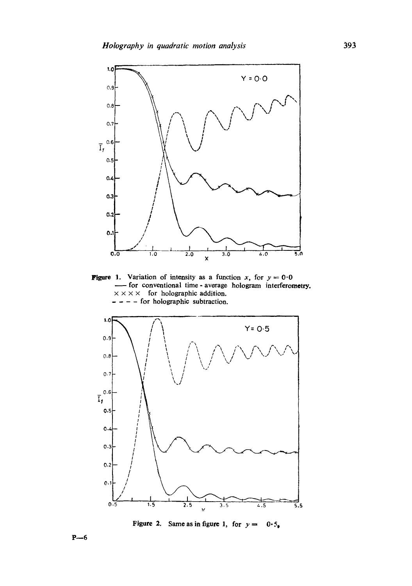

**Figure 1.** Variation of intensity as a function x, for  $y = 0.0$ **for conventional time-average hologram interferometry.**  $x \times x \times$  for holographic addition.  $---$  for holographic subtraction.



**Figure 2.** Same as in figure 1, for  $y = 0.5$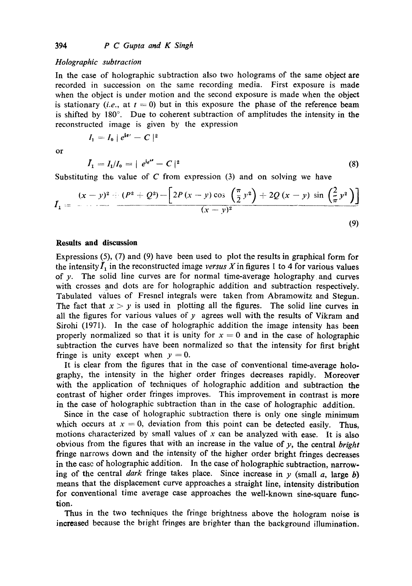$I_1 = I_0 \mid e^{i\theta'} - C \mid^2$ 

### *Holographic subtraction*

In the case of holographic subtraction also two holograms of the same object are recorded in succession on the same recording media. First exposure is made when the object is under motion and the second exposure is made when the object is stationary *(i.e.,* at  $t = 0$ ) but in this exposure the phase of the reference beam is shifted by  $180^\circ$ . Due to coherent subtraction of amplitudes the intensity in the reconstructed image is given by the expression

or

 $I_1 = I_1/I_0 = |e^{i\epsilon''} - C|^2$  (8)

Substituting the value of  $C$  from expression (3) and on solving we have

$$
I_1 = \frac{(x-y)^2 + (P^2 + Q^2) - \left[2P(x-y)\cos\left(\frac{\pi}{2}y^2\right) + 2Q(x-y)\sin\left(\frac{2}{\pi}y^2\right)\right]}{(x-y)^2}
$$
\n(9)

## **Results and discussion**

Expressions (5), (7) and (9) have been used to plot the results in graphical form for the intensity  $\bar{I}_1$  in the reconstructed image *versus X* in figures 1 to 4 for various values of y. The solid line curves are for normal time-average holography and curves with crosses and dots are for holographic addition and subtraction respectively. Tabulated values of Fresnel integrals were taken from Abramowitz and Stegun. The fact that  $x > y$  is used in plotting all the figures. The solid line curves in all the figures for various values of  $y$  agrees well with the results of Vikram and Sirohi (1971). In the case of holographic addition the image intensity has been properly normalized so that it is unity for  $x = 0$  and in the case of holographic subtraction the curves have been normalized so that the intensity for first bright fringe is unity except when  $y = 0$ .

It is clear from the figures that in the case of conventional time-average holography, the intensity in the higher order fringes decreases rapidly. Moreover with the application of techniques of holographic addition and subtraction the contrast of higher order fringes improves. This improvement in contrast is more in the case of holographic subtraction than in the case of holographic addition.

Since in the case of holographic subtraction there is only one single minimum which occurs at  $x = 0$ , deviation from this point can be detected easily. Thus, motions characterized by small values of  $x$  can be analyzed with ease. It is also obvious from the figures that with an increase in the value of y, the central *bright*  fringe narrows down and the intensity of the higher order bright fringes decreases in the case of holographic addition. In the case of holographic subtraction, narrowing of the central *dark* fringe takes place. Since increase in y (small a, large b) means that the displacement curve approaches a straight line, intensity distribution for conventional time average case approaches the well-known sine-square function.

Thus in the two techniques the fringe brightness above the hologram noise is increased because the bright fringes are brighter than the background illumination.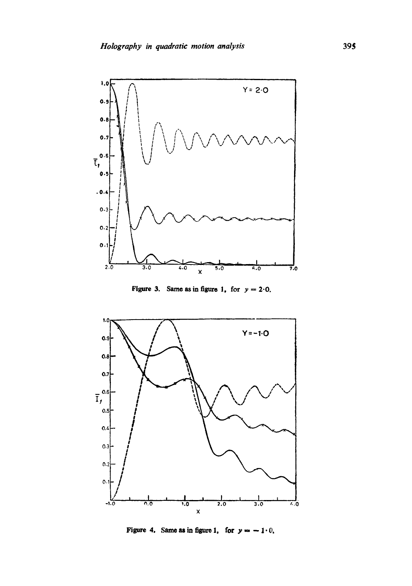

**Figure 3.** Same as in figure 1, for  $y = 2.0$ .



**Figure 4.** Same as in figure 1, for  $y = -1.0$ ,